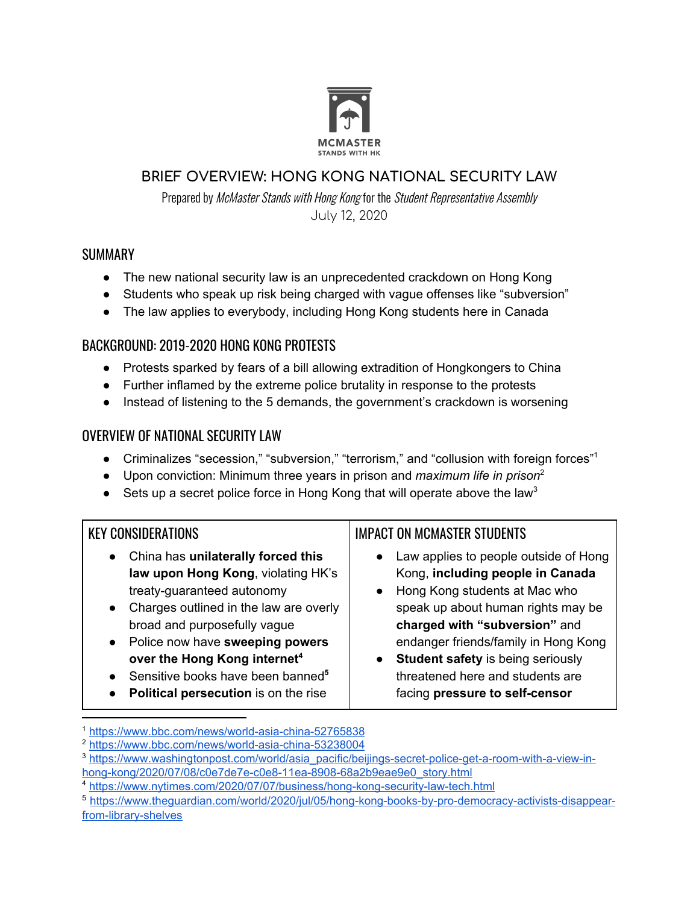

#### **BRIEF OVERVIEW: HONG KONG NATIONAL SECURITY LAW**

Prepared by McMaster Stands with Hong Kong for the Student Representative Assembly July 12, 2020

#### **SUMMARY**

- The new national security law is an unprecedented crackdown on Hong Kong
- Students who speak up risk being charged with vague offenses like "subversion"
- The law applies to everybody, including Hong Kong students here in Canada

### BACKGROUND: 2019-2020 HONG KONG PROTESTS

- Protests sparked by fears of a bill allowing extradition of Hongkongers to China
- Further inflamed by the extreme police brutality in response to the protests
- Instead of listening to the 5 demands, the government's crackdown is worsening

### OVERVIEW OF NATIONAL SECURITY LAW

- Criminalizes "secession," "subversion," "terrorism," and "collusion with foreign forces"<sup>1</sup>
- Upon conviction: Minimum three years in prison and *maximum life in prison* 2
- Sets up a secret police force in Hong Kong that will operate above the law<sup>3</sup>

#### KEY CONSIDERATIONS

- China has **unilaterally forced this law upon Hong Kong**, violating HK's treaty-guaranteed autonomy
- Charges outlined in the law are overly broad and purposefully vague
- Police now have **sweeping powers over the Hong Kong internet 4**
- Sensitive books have been banned **5**
- **Political persecution** is on the rise

## IMPACT ON MCMASTER STUDENTS

- Law applies to people outside of Hong Kong, **including people in Canada**
- Hong Kong students at Mac who speak up about human rights may be **charged with "subversion"** and endanger friends/family in Hong Kong
- **Student safety** is being seriously threatened here and students are facing **pressure to self-censor**

<sup>1</sup> <https://www.bbc.com/news/world-asia-china-52765838>

<sup>2</sup> <https://www.bbc.com/news/world-asia-china-53238004>

<sup>3</sup> [https://www.washingtonpost.com/world/asia\\_pacific/beijings-secret-police-get-a-room-with-a-view-in](https://www.washingtonpost.com/world/asia_pacific/beijings-secret-police-get-a-room-with-a-view-in-hong-kong/2020/07/08/c0e7de7e-c0e8-11ea-8908-68a2b9eae9e0_story.html)[hong-kong/2020/07/08/c0e7de7e-c0e8-11ea-8908-68a2b9eae9e0\\_story.html](https://www.washingtonpost.com/world/asia_pacific/beijings-secret-police-get-a-room-with-a-view-in-hong-kong/2020/07/08/c0e7de7e-c0e8-11ea-8908-68a2b9eae9e0_story.html)

<sup>4</sup> <https://www.nytimes.com/2020/07/07/business/hong-kong-security-law-tech.html>

<sup>5</sup> [https://www.theguardian.com/world/2020/jul/05/hong-kong-books-by-pro-democracy-activists-disappear](https://www.theguardian.com/world/2020/jul/05/hong-kong-books-by-pro-democracy-activists-disappear-from-library-shelves)[from-library-shelves](https://www.theguardian.com/world/2020/jul/05/hong-kong-books-by-pro-democracy-activists-disappear-from-library-shelves)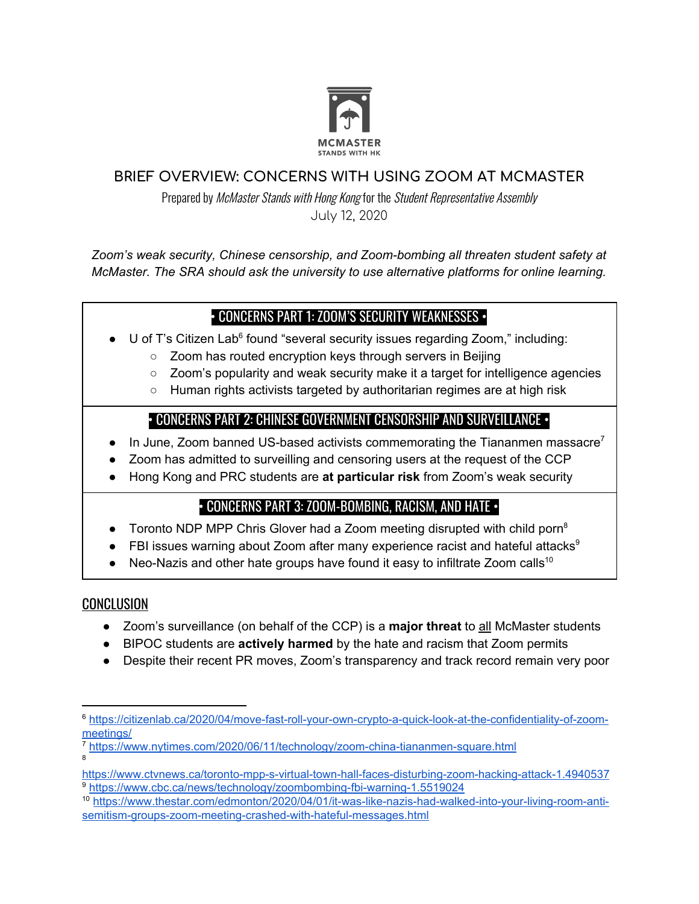

#### **BRIEF OVERVIEW: CONCERNS WITH USING ZOOM AT MCMASTER**

Prepared by McMaster Stands with Hong Kong for the Student Representative Assembly July 12, 2020

*Zoom's weak security, Chinese censorship, and Zoom-bombing all threaten student safety at McMaster. The SRA should ask the university to use alternative platforms for online learning.*

## • CONCERNS PART 1: ZOOM'S SECURITY WEAKNESSES •

- $\bullet$  U of T's Citizen Lab<sup>6</sup> found "several security issues regarding Zoom," including:
	- Zoom has routed encryption keys through servers in Beijing
	- Zoom's popularity and weak security make it a target for intelligence agencies
	- Human rights activists targeted by authoritarian regimes are at high risk

## • CONCERNS PART 2: CHINESE GOVERNMENT CENSORSHIP AND SURVEILLANCE •

- $\bullet$  In June, Zoom banned US-based activists commemorating the Tiananmen massacre<sup>7</sup>
- Zoom has admitted to surveilling and censoring users at the request of the CCP
- Hong Kong and PRC students are **at particular risk** from Zoom's weak security

# • CONCERNS PART 3: ZOOM-BOMBING, RACISM, AND HATE •

- Toronto NDP MPP Chris Glover had a Zoom meeting disrupted with child porn<sup>8</sup>
- FBI issues warning about Zoom after many experience racist and hateful attacks<sup>9</sup>
- Neo-Nazis and other hate groups have found it easy to infiltrate Zoom calls<sup>10</sup>

## **CONCLUSION**

- Zoom's surveillance (on behalf of the CCP) is a **major threat** to all McMaster students
- BIPOC students are **actively harmed** by the hate and racism that Zoom permits
- Despite their recent PR moves, Zoom's transparency and track record remain very poor

<sup>6</sup> [https://citizenlab.ca/2020/04/move-fast-roll-your-own-crypto-a-quick-look-at-the-confidentiality-of-zoom](https://citizenlab.ca/2020/04/move-fast-roll-your-own-crypto-a-quick-look-at-the-confidentiality-of-zoom-meetings/)[meetings/](https://citizenlab.ca/2020/04/move-fast-roll-your-own-crypto-a-quick-look-at-the-confidentiality-of-zoom-meetings/)

<sup>7</sup> <https://www.nytimes.com/2020/06/11/technology/zoom-china-tiananmen-square.html> 8

<https://www.ctvnews.ca/toronto-mpp-s-virtual-town-hall-faces-disturbing-zoom-hacking-attack-1.4940537> <sup>9</sup> <https://www.cbc.ca/news/technology/zoombombing-fbi-warning-1.5519024>

<sup>10</sup> [https://www.thestar.com/edmonton/2020/04/01/it-was-like-nazis-had-walked-into-your-living-room-anti](https://www.thestar.com/edmonton/2020/04/01/it-was-like-nazis-had-walked-into-your-living-room-anti-semitism-groups-zoom-meeting-crashed-with-hateful-messages.html)[semitism-groups-zoom-meeting-crashed-with-hateful-messages.html](https://www.thestar.com/edmonton/2020/04/01/it-was-like-nazis-had-walked-into-your-living-room-anti-semitism-groups-zoom-meeting-crashed-with-hateful-messages.html)